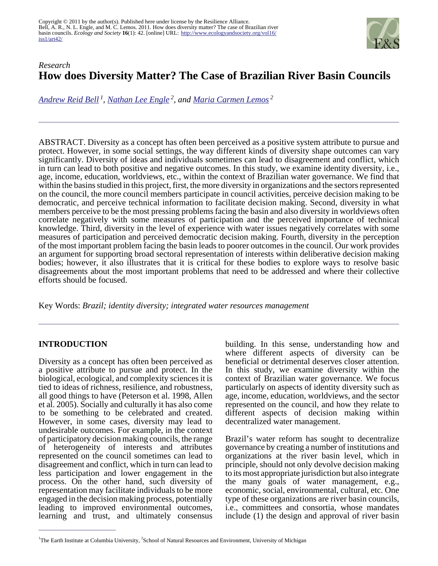

# *Research* **How does Diversity Matter? The Case of Brazilian River Basin Councils**

*[Andrew Reid Bell](mailto:ab3477@columbia.edu)<sup>1</sup> , [Nathan Lee Engle](mailto:nengle@umich.edu)<sup>2</sup>, and [Maria Carmen Lemos](mailto:lemos@umich.edu)<sup>2</sup>*

ABSTRACT. Diversity as a concept has often been perceived as a positive system attribute to pursue and protect. However, in some social settings, the way different kinds of diversity shape outcomes can vary significantly. Diversity of ideas and individuals sometimes can lead to disagreement and conflict, which in turn can lead to both positive and negative outcomes. In this study, we examine identity diversity, i.e., age, income, education, worldviews, etc., within the context of Brazilian water governance. We find that within the basins studied in this project, first, the more diversity in organizations and the sectors represented on the council, the more council members participate in council activities, perceive decision making to be democratic, and perceive technical information to facilitate decision making. Second, diversity in what members perceive to be the most pressing problems facing the basin and also diversity in worldviews often correlate negatively with some measures of participation and the perceived importance of technical knowledge. Third, diversity in the level of experience with water issues negatively correlates with some measures of participation and perceived democratic decision making. Fourth, diversity in the perception of the most important problem facing the basin leads to poorer outcomes in the council. Our work provides an argument for supporting broad sectoral representation of interests within deliberative decision making bodies; however, it also illustrates that it is critical for these bodies to explore ways to resolve basic disagreements about the most important problems that need to be addressed and where their collective efforts should be focused.

Key Words: *Brazil; identity diversity; integrated water resources management*

### **INTRODUCTION**

Diversity as a concept has often been perceived as a positive attribute to pursue and protect. In the biological, ecological, and complexity sciences it is tied to ideas of richness, resilience, and robustness, all good things to have (Peterson et al. 1998, Allen et al. 2005). Socially and culturally it has also come to be something to be celebrated and created. However, in some cases, diversity may lead to undesirable outcomes. For example, in the context of participatory decision making councils, the range of heterogeneity of interests and attributes represented on the council sometimes can lead to disagreement and conflict, which in turn can lead to less participation and lower engagement in the process. On the other hand, such diversity of representation may facilitate individuals to be more engaged in the decision making process, potentially leading to improved environmental outcomes, learning and trust, and ultimately consensus

building. In this sense, understanding how and where different aspects of diversity can be beneficial or detrimental deserves closer attention. In this study, we examine diversity within the context of Brazilian water governance. We focus particularly on aspects of identity diversity such as age, income, education, worldviews, and the sector represented on the council, and how they relate to different aspects of decision making within decentralized water management.

Brazil's water reform has sought to decentralize governance by creating a number of institutions and organizations at the river basin level, which in principle, should not only devolve decision making to its most appropriate jurisdiction but also integrate the many goals of water management, e.g., economic, social, environmental, cultural, etc. One type of these organizations are river basin councils, i.e., committees and consortia, whose mandates include (1) the design and approval of river basin

<sup>&</sup>lt;sup>1</sup>The Earth Institute at Columbia University, <sup>2</sup>School of Natural Resources and Environment, University of Michigan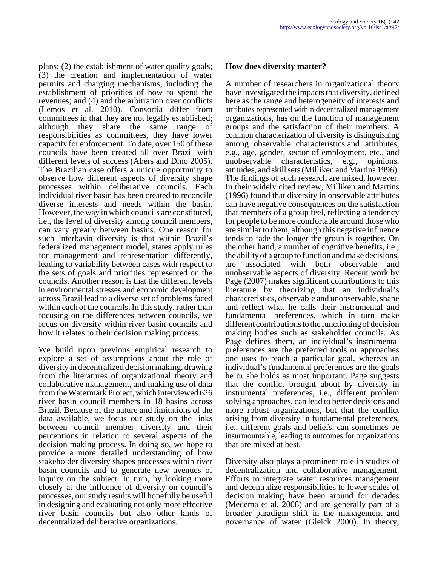plans; (2) the establishment of water quality goals; (3) the creation and implementation of water permits and charging mechanisms, including the establishment of priorities of how to spend the revenues; and (4) and the arbitration over conflicts (Lemos et al. 2010). Consortia differ from committees in that they are not legally established; although they share the same range of responsibilities as committees, they have lower capacity for enforcement. To date, over 150 of these councils have been created all over Brazil with different levels of success (Abers and Dino 2005). The Brazilian case offers a unique opportunity to observe how different aspects of diversity shape processes within deliberative councils. Each individual river basin has been created to reconcile diverse interests and needs within the basin. However, the way in which councils are constituted, i.e., the level of diversity among council members, can vary greatly between basins. One reason for such interbasin diversity is that within Brazil's federalized management model, states apply rules for management and representation differently, leading to variability between cases with respect to the sets of goals and priorities represented on the councils. Another reason is that the different levels in environmental stresses and economic development across Brazil lead to a diverse set of problems faced within each of the councils. In this study, rather than focusing on the differences between councils, we focus on diversity within river basin councils and how it relates to their decision making process.

We build upon previous empirical research to explore a set of assumptions about the role of diversity in decentralized decision making, drawing from the literatures of organizational theory and collaborative management, and making use of data from the Watermark Project, which interviewed 626 river basin council members in 18 basins across Brazil. Because of the nature and limitations of the data available, we focus our study on the links between council member diversity and their perceptions in relation to several aspects of the decision making process. In doing so, we hope to provide a more detailed understanding of how stakeholder diversity shapes processes within river basin councils and to generate new avenues of inquiry on the subject. In turn, by looking more closely at the influence of diversity on council's processes, our study results will hopefully be useful in designing and evaluating not only more effective river basin councils but also other kinds of decentralized deliberative organizations.

#### **How does diversity matter?**

A number of researchers in organizational theory have investigated the impacts that diversity, defined here as the range and heterogeneity of interests and attributes represented within decentralized management organizations, has on the function of management groups and the satisfaction of their members. A common characterization of diversity is distinguishing among observable characteristics and attributes, e.g., age, gender, sector of employment, etc., and unobservable characteristics, e.g., opinions, attitudes, and skill sets (Milliken and Martins 1996). The findings of such research are mixed, however. In their widely cited review, Milliken and Martins (1996) found that diversity in observable attributes can have negative consequences on the satisfaction that members of a group feel, reflecting a tendency for people to be more comfortable around those who are similar to them, although this negative influence tends to fade the longer the group is together. On the other hand, a number of cognitive benefits, i.e., the ability of a group to function and make decisions, are associated with both observable and unobservable aspects of diversity. Recent work by Page (2007) makes significant contributions to this literature by theorizing that an individual's characteristics, observable and unobservable, shape and reflect what he calls their instrumental and fundamental preferences, which in turn make different contributions to the functioning of decision making bodies such as stakeholder councils. As Page defines them, an individual's instrumental preferences are the preferred tools or approaches one uses to reach a particular goal, whereas an individual's fundamental preferences are the goals he or she holds as most important. Page suggests that the conflict brought about by diversity in instrumental preferences, i.e., different problem solving approaches, can lead to better decisions and more robust organizations, but that the conflict arising from diversity in fundamental preferences, i.e., different goals and beliefs, can sometimes be insurmountable, leading to outcomes for organizations that are mixed at best.

Diversity also plays a prominent role in studies of decentralization and collaborative management. Efforts to integrate water resources management and decentralize responsibilities to lower scales of decision making have been around for decades (Medema et al. 2008) and are generally part of a broader paradigm shift in the management and governance of water (Gleick 2000). In theory,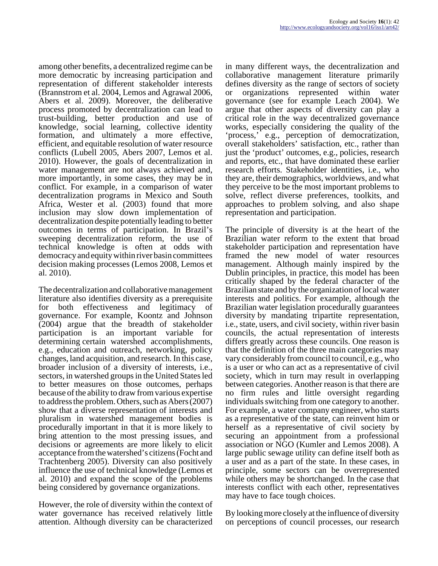among other benefits, a decentralized regime can be more democratic by increasing participation and representation of different stakeholder interests (Brannstrom et al. 2004, Lemos and Agrawal 2006, Abers et al. 2009). Moreover, the deliberative process promoted by decentralization can lead to trust-building, better production and use of knowledge, social learning, collective identity formation, and ultimately a more effective, efficient, and equitable resolution of water resource conflicts (Lubell 2005, Abers 2007, Lemos et al. 2010). However, the goals of decentralization in water management are not always achieved and, more importantly, in some cases, they may be in conflict. For example, in a comparison of water decentralization programs in Mexico and South Africa, Wester et al. (2003) found that more inclusion may slow down implementation of decentralization despite potentially leading to better outcomes in terms of participation. In Brazil's sweeping decentralization reform, the use of technical knowledge is often at odds with democracy and equity within river basin committees decision making processes (Lemos 2008, Lemos et al. 2010).

The decentralization and collaborative management literature also identifies diversity as a prerequisite for both effectiveness and legitimacy of governance. For example, Koontz and Johnson (2004) argue that the breadth of stakeholder participation is an important variable for determining certain watershed accomplishments, e.g., education and outreach, networking, policy changes, land acquisition, and research. In this case, broader inclusion of a diversity of interests, i.e., sectors, in watershed groups in the United States led to better measures on those outcomes, perhaps because of the ability to draw from various expertise to address the problem. Others, such as Abers (2007) show that a diverse representation of interests and pluralism in watershed management bodies is procedurally important in that it is more likely to bring attention to the most pressing issues, and decisions or agreements are more likely to elicit acceptance from the watershed's citizens (Focht and Trachtenberg 2005). Diversity can also positively influence the use of technical knowledge (Lemos et al. 2010) and expand the scope of the problems being considered by governance organizations.

However, the role of diversity within the context of water governance has received relatively little attention. Although diversity can be characterized

in many different ways, the decentralization and collaborative management literature primarily defines diversity as the range of sectors of society or organizations represented within water governance (see for example Leach 2004). We argue that other aspects of diversity can play a critical role in the way decentralized governance works, especially considering the quality of the 'process,' e.g., perception of democratization, overall stakeholders' satisfaction, etc., rather than just the 'product' outcomes, e.g., policies, research and reports, etc., that have dominated these earlier research efforts. Stakeholder identities, i.e., who they are, their demographics, worldviews, and what they perceive to be the most important problems to solve, reflect diverse preferences, toolkits, and approaches to problem solving, and also shape representation and participation.

The principle of diversity is at the heart of the Brazilian water reform to the extent that broad stakeholder participation and representation have framed the new model of water resources management. Although mainly inspired by the Dublin principles, in practice, this model has been critically shaped by the federal character of the Brazilian state and by the organization of local water interests and politics. For example, although the Brazilian water legislation procedurally guarantees diversity by mandating tripartite representation, i.e., state, users, and civil society, within river basin councils, the actual representation of interests differs greatly across these councils. One reason is that the definition of the three main categories may vary considerably from council to council, e.g., who is a user or who can act as a representative of civil society, which in turn may result in overlapping between categories. Another reason is that there are no firm rules and little oversight regarding individuals switching from one category to another. For example, a water company engineer, who starts as a representative of the state, can reinvent him or herself as a representative of civil society by securing an appointment from a professional association or NGO (Kumler and Lemos 2008). A large public sewage utility can define itself both as a user and as a part of the state. In these cases, in principle, some sectors can be overrepresented while others may be shortchanged. In the case that interests conflict with each other, representatives may have to face tough choices.

By looking more closely at the influence of diversity on perceptions of council processes, our research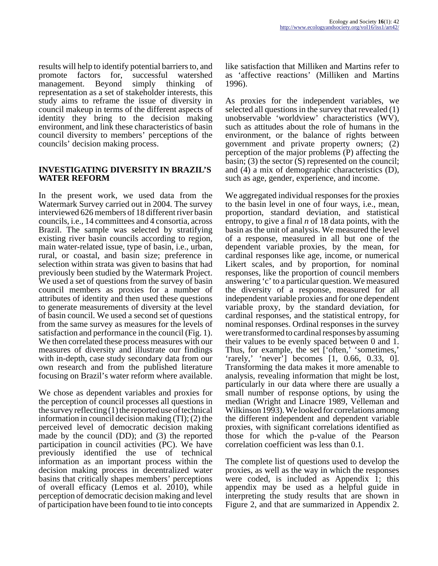results will help to identify potential barriers to, and promote factors for, successful watershed management. Beyond simply thinking of representation as a set of stakeholder interests, this study aims to reframe the issue of diversity in council makeup in terms of the different aspects of identity they bring to the decision making environment, and link these characteristics of basin council diversity to members' perceptions of the councils' decision making process.

#### **INVESTIGATING DIVERSITY IN BRAZIL'S WATER REFORM**

In the present work, we used data from the Watermark Survey carried out in 2004. The survey interviewed 626 members of 18 different river basin councils, i.e., 14 committees and 4 consortia, across Brazil. The sample was selected by stratifying existing river basin councils according to region, main water-related issue, type of basin, i.e., urban, rural, or coastal, and basin size; preference in selection within strata was given to basins that had previously been studied by the Watermark Project. We used a set of questions from the survey of basin council members as proxies for a number of attributes of identity and then used these questions to generate measurements of diversity at the level of basin council. We used a second set of questions from the same survey as measures for the levels of satisfaction and performance in the council (Fig. 1). We then correlated these process measures with our measures of diversity and illustrate our findings with in-depth, case study secondary data from our own research and from the published literature focusing on Brazil's water reform where available.

We chose as dependent variables and proxies for the perception of council processes all questions in the survey reflecting (1) the reported use of technical information in council decision making (TI); (2) the perceived level of democratic decision making made by the council (DD); and (3) the reported participation in council activities (PC). We have previously identified the use of technical information as an important process within the decision making process in decentralized water basins that critically shapes members' perceptions of overall efficacy (Lemos et al. 2010), while perception of democratic decision making and level of participation have been found to tie into concepts

like satisfaction that Milliken and Martins refer to as 'affective reactions' (Milliken and Martins 1996).

As proxies for the independent variables, we selected all questions in the survey that revealed (1) unobservable 'worldview' characteristics (WV), such as attitudes about the role of humans in the environment, or the balance of rights between government and private property owners; (2) perception of the major problems (P) affecting the basin; (3) the sector (S) represented on the council; and (4) a mix of demographic characteristics (D), such as age, gender, experience, and income.

We aggregated individual responses for the proxies to the basin level in one of four ways, i.e., mean, proportion, standard deviation, and statistical entropy, to give a final *n* of 18 data points, with the basin as the unit of analysis. We measured the level of a response, measured in all but one of the dependent variable proxies, by the mean, for cardinal responses like age, income, or numerical Likert scales, and by proportion, for nominal responses, like the proportion of council members answering 'c' to a particular question. We measured the diversity of a response, measured for all independent variable proxies and for one dependent variable proxy, by the standard deviation, for cardinal responses, and the statistical entropy, for nominal responses. Ordinal responses in the survey were transformed to cardinal responses by assuming their values to be evenly spaced between 0 and 1. Thus, for example, the set ['often,' 'sometimes,' 'rarely,' 'never'] becomes [1, 0.66, 0.33, 0]. Transforming the data makes it more amenable to analysis, revealing information that might be lost, particularly in our data where there are usually a small number of response options, by using the median (Wright and Linacre 1989, Velleman and Wilkinson 1993). We looked for correlations among the different independent and dependent variable proxies, with significant correlations identified as those for which the p-value of the Pearson correlation coefficient was less than 0.1.

The complete list of questions used to develop the proxies, as well as the way in which the responses were coded, is included as Appendix 1; this appendix may be used as a helpful guide in interpreting the study results that are shown in Figure 2, and that are summarized in Appendix 2.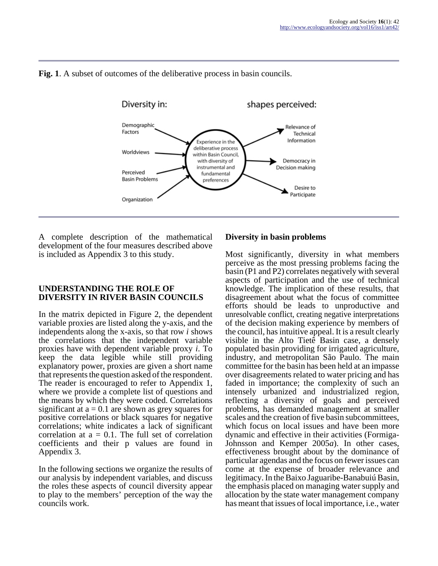

**Fig. 1**. A subset of outcomes of the deliberative process in basin councils.

A complete description of the mathematical development of the four measures described above is included as Appendix 3 to this study.

### **UNDERSTANDING THE ROLE OF DIVERSITY IN RIVER BASIN COUNCILS**

In the matrix depicted in Figure 2, the dependent variable proxies are listed along the y-axis, and the independents along the x-axis, so that row *i* shows the correlations that the independent variable proxies have with dependent variable proxy *i*. To keep the data legible while still providing explanatory power, proxies are given a short name that represents the question asked of the respondent. The reader is encouraged to refer to Appendix 1, where we provide a complete list of questions and the means by which they were coded. Correlations significant at  $a = 0.1$  are shown as grey squares for positive correlations or black squares for negative correlations; white indicates a lack of significant correlation at  $a = 0.1$ . The full set of correlation coefficients and their p values are found in Appendix 3.

In the following sections we organize the results of our analysis by independent variables, and discuss the roles these aspects of council diversity appear to play to the members' perception of the way the councils work.

### **Diversity in basin problems**

Most significantly, diversity in what members perceive as the most pressing problems facing the basin (P1 and P2) correlates negatively with several aspects of participation and the use of technical knowledge. The implication of these results, that disagreement about what the focus of committee efforts should be leads to unproductive and unresolvable conflict, creating negative interpretations of the decision making experience by members of the council, has intuitive appeal. It is a result clearly visible in the Alto Tietê Basin case, a densely populated basin providing for irrigated agriculture, industry, and metropolitan São Paulo. The main committee for the basin has been held at an impasse over disagreements related to water pricing and has faded in importance; the complexity of such an intensely urbanized and industrialized region, reflecting a diversity of goals and perceived problems, has demanded management at smaller scales and the creation of five basin subcommittees. which focus on local issues and have been more dynamic and effective in their activities (Formiga-Johnsson and Kemper 2005*a*). In other cases, effectiveness brought about by the dominance of particular agendas and the focus on fewer issues can come at the expense of broader relevance and legitimacy. In the Baixo Jaguaribe-Banabuiú Basin, the emphasis placed on managing water supply and allocation by the state water management company has meant that issues of local importance, i.e., water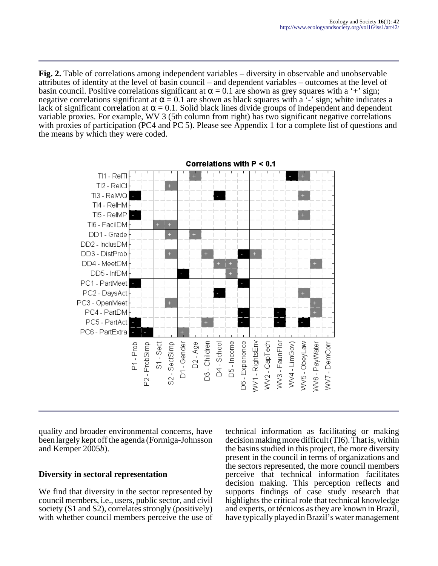**Fig. 2.** Table of correlations among independent variables – diversity in observable and unobservable attributes of identity at the level of basin council – and dependent variables – outcomes at the level of basin council. Positive correlations significant at  $\alpha = 0.1$  are shown as grey squares with a '+' sign; negative correlations significant at  $\alpha = 0.1$  are shown as black squares with a '-' sign; white indicates a lack of significant correlation at  $\alpha = 0.1$ . Solid black lines divide groups of independent and dependent variable proxies. For example, WV 3 (5th column from right) has two significant negative correlations with proxies of participation (PC4 and PC 5). Please see Appendix 1 for a complete list of questions and the means by which they were coded.



quality and broader environmental concerns, have been largely kept off the agenda (Formiga-Johnsson and Kemper 2005*b*).

## **Diversity in sectoral representation**

We find that diversity in the sector represented by council members, i.e., users, public sector, and civil society (S1 and S2), correlates strongly (positively) with whether council members perceive the use of technical information as facilitating or making decision making more difficult (TI6). That is, within the basins studied in this project, the more diversity present in the council in terms of organizations and the sectors represented, the more council members perceive that technical information facilitates decision making. This perception reflects and supports findings of case study research that highlights the critical role that technical knowledge and experts, or técnicos as they are known in Brazil, have typically played in Brazil's water management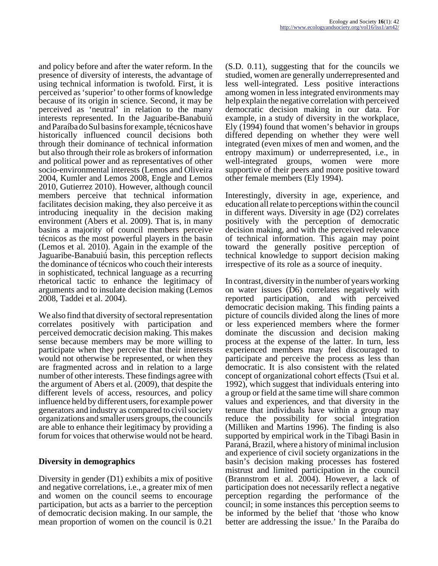and policy before and after the water reform. In the presence of diversity of interests, the advantage of using technical information is twofold. First, it is perceived as 'superior' to other forms of knowledge because of its origin in science. Second, it may be perceived as 'neutral' in relation to the many interests represented. In the Jaguaribe-Banabuiú and Paraíba do Sul basins for example, técnicos have historically influenced council decisions both through their dominance of technical information but also through their role as brokers of information and political power and as representatives of other socio-environmental interests (Lemos and Oliveira 2004, Kumler and Lemos 2008, Engle and Lemos 2010, Gutierrez 2010). However, although council members perceive that technical information facilitates decision making, they also perceive it as introducing inequality in the decision making environment (Abers et al. 2009). That is, in many basins a majority of council members perceive técnicos as the most powerful players in the basin (Lemos et al. 2010). Again in the example of the Jaguaribe-Banabuiú basin, this perception reflects the dominance of técnicos who couch their interests in sophisticated, technical language as a recurring rhetorical tactic to enhance the legitimacy of arguments and to insulate decision making (Lemos 2008, Taddei et al. 2004).

We also find that diversity of sectoral representation correlates positively with participation and perceived democratic decision making. This makes sense because members may be more willing to participate when they perceive that their interests would not otherwise be represented, or when they are fragmented across and in relation to a large number of other interests. These findings agree with the argument of Abers et al. (2009), that despite the different levels of access, resources, and policy influence held by different users, for example power generators and industry as compared to civil society organizations and smaller users groups, the councils are able to enhance their legitimacy by providing a forum for voices that otherwise would not be heard.

## **Diversity in demographics**

Diversity in gender (D1) exhibits a mix of positive and negative correlations, i.e., a greater mix of men and women on the council seems to encourage participation, but acts as a barrier to the perception of democratic decision making. In our sample, the mean proportion of women on the council is 0.21

(S.D. 0.11), suggesting that for the councils we studied, women are generally underrepresented and less well-integrated. Less positive interactions among women in less integrated environments may help explain the negative correlation with perceived democratic decision making in our data. For example, in a study of diversity in the workplace, Ely (1994) found that women's behavior in groups differed depending on whether they were well integrated (even mixes of men and women, and the entropy maximum) or underrepresented, i.e., in well-integrated groups, women were more supportive of their peers and more positive toward other female members (Ely 1994).

Interestingly, diversity in age, experience, and education all relate to perceptions within the council in different ways. Diversity in age (D2) correlates positively with the perception of democratic decision making, and with the perceived relevance of technical information. This again may point toward the generally positive perception of technical knowledge to support decision making irrespective of its role as a source of inequity.

In contrast, diversity in the number of years working on water issues (D6) correlates negatively with reported participation, and with perceived democratic decision making. This finding paints a picture of councils divided along the lines of more or less experienced members where the former dominate the discussion and decision making process at the expense of the latter. In turn, less experienced members may feel discouraged to participate and perceive the process as less than democratic. It is also consistent with the related concept of organizational cohort effects (Tsui et al. 1992), which suggest that individuals entering into a group or field at the same time will share common values and experiences, and that diversity in the tenure that individuals have within a group may reduce the possibility for social integration (Milliken and Martins 1996). The finding is also supported by empirical work in the Tibagi Basin in Paraná, Brazil, where a history of minimal inclusion and experience of civil society organizations in the basin's decision making processes has fostered mistrust and limited participation in the council (Brannstrom et al. 2004). However, a lack of participation does not necessarily reflect a negative perception regarding the performance of the council; in some instances this perception seems to be informed by the belief that 'those who know better are addressing the issue.' In the Paraíba do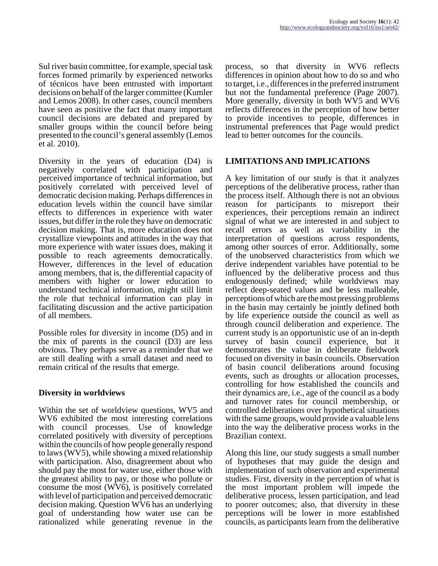Sul river basin committee, for example, special task forces formed primarily by experienced networks of técnicos have been entrusted with important decisions on behalf of the larger committee (Kumler and Lemos 2008). In other cases, council members have seen as positive the fact that many important council decisions are debated and prepared by smaller groups within the council before being presented to the council's general assembly (Lemos et al. 2010).

Diversity in the years of education (D4) is negatively correlated with participation and perceived importance of technical information, but positively correlated with perceived level of democratic decision making. Perhaps differences in education levels within the council have similar effects to differences in experience with water issues, but differ in the role they have on democratic decision making. That is, more education does not crystallize viewpoints and attitudes in the way that more experience with water issues does, making it possible to reach agreements democratically. However, differences in the level of education among members, that is, the differential capacity of members with higher or lower education to understand technical information, might still limit the role that technical information can play in facilitating discussion and the active participation of all members.

Possible roles for diversity in income (D5) and in the mix of parents in the council (D3) are less obvious. They perhaps serve as a reminder that we are still dealing with a small dataset and need to remain critical of the results that emerge.

## **Diversity in worldviews**

Within the set of worldview questions, WV5 and WV6 exhibited the most interesting correlations with council processes. Use of knowledge correlated positively with diversity of perceptions within the councils of how people generally respond to laws (WV5), while showing a mixed relationship with participation. Also, disagreement about who should pay the most for water use, either those with the greatest ability to pay, or those who pollute or consume the most (WV6), is positively correlated with level of participation and perceived democratic decision making. Question WV6 has an underlying goal of understanding how water use can be rationalized while generating revenue in the

process, so that diversity in WV6 reflects differences in opinion about how to do so and who to target, i.e., differences in the preferred instrument but not the fundamental preference (Page 2007). More generally, diversity in both WV5 and WV6 reflects differences in the perception of how better to provide incentives to people, differences in instrumental preferences that Page would predict lead to better outcomes for the councils.

## **LIMITATIONS AND IMPLICATIONS**

A key limitation of our study is that it analyzes perceptions of the deliberative process, rather than the process itself. Although there is not an obvious reason for participants to misreport their experiences, their perceptions remain an indirect signal of what we are interested in and subject to recall errors as well as variability in the interpretation of questions across respondents, among other sources of error. Additionally, some of the unobserved characteristics from which we derive independent variables have potential to be influenced by the deliberative process and thus endogenously defined; while worldviews may reflect deep-seated values and be less malleable, perceptions of which are the most pressing problems in the basin may certainly be jointly defined both by life experience outside the council as well as through council deliberation and experience. The current study is an opportunistic use of an in-depth survey of basin council experience, but it demonstrates the value in deliberate fieldwork focused on diversity in basin councils. Observation of basin council deliberations around focusing events, such as droughts or allocation processes, controlling for how established the councils and their dynamics are, i.e., age of the council as a body and turnover rates for council membership, or controlled deliberations over hypothetical situations with the same groups, would provide a valuable lens into the way the deliberative process works in the Brazilian context.

Along this line, our study suggests a small number of hypotheses that may guide the design and implementation of such observation and experimental studies. First, diversity in the perception of what is the most important problem will impede the deliberative process, lessen participation, and lead to poorer outcomes; also, that diversity in these perceptions will be lower in more established councils, as participants learn from the deliberative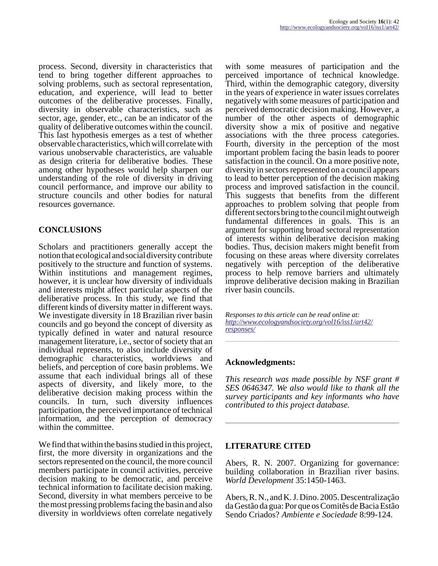process. Second, diversity in characteristics that tend to bring together different approaches to solving problems, such as sectoral representation, education, and experience, will lead to better outcomes of the deliberative processes. Finally, diversity in observable characteristics, such as sector, age, gender, etc., can be an indicator of the quality of deliberative outcomes within the council. This last hypothesis emerges as a test of whether observable characteristics, which will correlate with various unobservable characteristics, are valuable as design criteria for deliberative bodies. These among other hypotheses would help sharpen our understanding of the role of diversity in driving council performance, and improve our ability to structure councils and other bodies for natural resources governance.

### **CONCLUSIONS**

Scholars and practitioners generally accept the notion that ecological and social diversity contribute positively to the structure and function of systems. Within institutions and management regimes, however, it is unclear how diversity of individuals and interests might affect particular aspects of the deliberative process. In this study, we find that different kinds of diversity matter in different ways. We investigate diversity in 18 Brazilian river basin councils and go beyond the concept of diversity as typically defined in water and natural resource management literature, i.e., sector of society that an individual represents, to also include diversity of demographic characteristics, worldviews and beliefs, and perception of core basin problems. We assume that each individual brings all of these aspects of diversity, and likely more, to the deliberative decision making process within the councils. In turn, such diversity influences participation, the perceived importance of technical information, and the perception of democracy within the committee.

We find that within the basins studied in this project, first, the more diversity in organizations and the sectors represented on the council, the more council members participate in council activities, perceive decision making to be democratic, and perceive technical information to facilitate decision making. Second, diversity in what members perceive to be the most pressing problems facing the basin and also diversity in worldviews often correlate negatively

with some measures of participation and the perceived importance of technical knowledge. Third, within the demographic category, diversity in the years of experience in water issues correlates negatively with some measures of participation and perceived democratic decision making. However, a number of the other aspects of demographic diversity show a mix of positive and negative associations with the three process categories. Fourth, diversity in the perception of the most important problem facing the basin leads to poorer satisfaction in the council. On a more positive note, diversity in sectors represented on a council appears to lead to better perception of the decision making process and improved satisfaction in the council. This suggests that benefits from the different approaches to problem solving that people from different sectors bring to the council might outweigh fundamental differences in goals. This is an argument for supporting broad sectoral representation of interests within deliberative decision making bodies. Thus, decision makers might benefit from focusing on these areas where diversity correlates negatively with perception of the deliberative process to help remove barriers and ultimately improve deliberative decision making in Brazilian river basin councils.

*Responses to this article can be read online at: [http://www](http://www.ecologyandsociety.org/vol16/iss1/art42/responses/).ecologyandsociety.org/vol16/iss1/art42/ responses/*

#### **Acknowledgments:**

*This research was made possible by NSF grant # SES 0646347. We also would like to thank all the survey participants and key informants who have contributed to this project database.*

#### **LITERATURE CITED**

Abers, R. N. 2007. Organizing for governance: building collaboration in Brazilian river basins. *World Development* 35:1450-1463.

Abers, R. N., and K. J. Dino. 2005. Descentralização da Gestão da gua: Por que os Comitês de Bacia Estão Sendo Criados? *Ambiente e Sociedade* 8:99-124.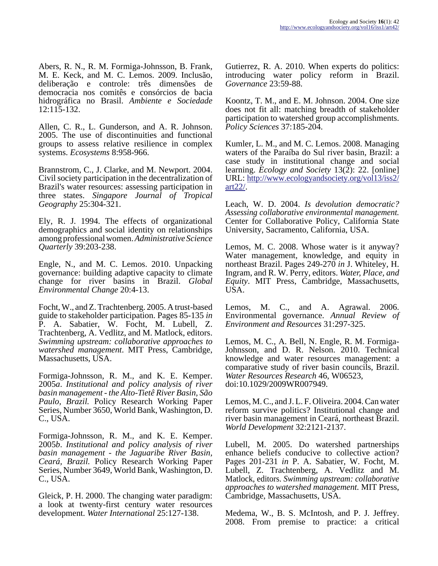Abers, R. N., R. M. Formiga-Johnsson, B. Frank, M. E. Keck, and M. C. Lemos. 2009. Inclusão, deliberação e controle: três dimensões de democracia nos comitês e consórcios de bacia hidrográfica no Brasil. *Ambiente e Sociedade* 12:115-132.

Allen, C. R., L. Gunderson, and A. R. Johnson. 2005. The use of discontinuities and functional groups to assess relative resilience in complex systems. *Ecosystems* 8:958-966.

Brannstrom, C., J. Clarke, and M. Newport. 2004. Civil society participation in the decentralization of Brazil's water resources: assessing participation in three states. *Singapore Journal of Tropical Geography* 25:304-321.

Ely, R. J. 1994. The effects of organizational demographics and social identity on relationships among professional women. *Administrative Science Quarterly* 39:203-238.

Engle, N., and M. C. Lemos. 2010. Unpacking governance: building adaptive capacity to climate change for river basins in Brazil. *Global Environmental Change* 20:4-13.

Focht, W., and Z. Trachtenberg. 2005. A trust-based guide to stakeholder participation. Pages 85-135 *in* P. A. Sabatier, W. Focht, M. Lubell, Z. Trachtenberg, A. Vedlitz, and M. Matlock, editors. *Swimming upstream: collaborative approaches to watershed management*. MIT Press, Cambridge, Massachusetts, USA.

Formiga-Johnsson, R. M., and K. E. Kemper. 2005*a*. *Institutional and policy analysis of river basin management - the Alto-Tietê River Basin, São Paulo, Brazil.* Policy Research Working Paper Series, Number 3650, World Bank, Washington, D. C., USA.

Formiga-Johnsson, R. M., and K. E. Kemper. 2005*b*. *Institutional and policy analysis of river basin management - the Jaguaribe River Basin, Ceará, Brazil.* Policy Research Working Paper Series, Number 3649, World Bank, Washington, D. C., USA.

Gleick, P. H. 2000. The changing water paradigm: a look at twenty-first century water resources development. *Water International* 25:127-138.

Gutierrez, R. A. 2010. When experts do politics: introducing water policy reform in Brazil. *Governance* 23:59-88.

Koontz, T. M., and E. M. Johnson. 2004. One size does not fit all: matching breadth of stakeholder participation to watershed group accomplishments. *Policy Sciences* 37:185-204.

Kumler, L. M., and M. C. Lemos. 2008. Managing waters of the Paraíba do Sul river basin, Brazil: a case study in institutional change and social learning. *Ecology and Society* 13(2): 22. [online] URL: [http://www.ecologyandsociety.org/vol13/iss2/](http://www.ecologyandsociety.org/vol13/iss2/art22/) [art22/.](http://www.ecologyandsociety.org/vol13/iss2/art22/)

Leach, W. D. 2004. *Is devolution democratic? Assessing collaborative environmental management.* Center for Collaborative Policy, California State University, Sacramento, California, USA.

Lemos, M. C. 2008. Whose water is it anyway? Water management, knowledge, and equity in northeast Brazil. Pages 249-270 *in* J. Whiteley, H. Ingram, and R. W. Perry, editors. *Water, Place, and Equity*. MIT Press, Cambridge, Massachusetts, USA.

Lemos, M. C., and A. Agrawal. 2006. Environmental governance. *Annual Review of Environment and Resources* 31:297-325.

Lemos, M. C., A. Bell, N. Engle, R. M. Formiga-Johnsson, and D. R. Nelson. 2010. Technical knowledge and water resources management: a comparative study of river basin councils, Brazil. *Water Resources Research* 46, W06523, doi:10.1029/2009WR007949.

Lemos, M. C., and J. L. F. Oliveira. 2004. Can water reform survive politics? Institutional change and river basin management in Ceará, northeast Brazil. *World Development* 32:2121-2137.

Lubell, M. 2005. Do watershed partnerships enhance beliefs conducive to collective action? Pages 201-231 *in* P. A. Sabatier, W. Focht, M. Lubell, Z. Trachtenberg, A. Vedlitz and M. Matlock, editors. *Swimming upstream: collaborative approaches to watershed management.* MIT Press, Cambridge, Massachusetts, USA.

Medema, W., B. S. McIntosh, and P. J. Jeffrey. 2008. From premise to practice: a critical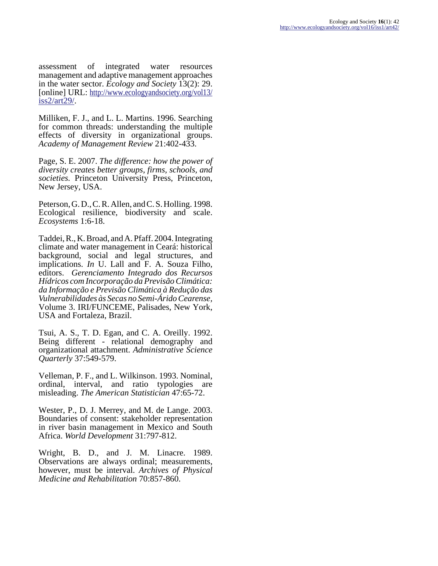assessment of integrated water resources management and adaptive management approaches in the water sector. *Ecology and Society* 13(2): 29. [online] URL: [http://www.ecologyandsociety.org/vol13/](http://www.ecologyandsociety.org/vol13/iss2/art29/) [iss2/art29/](http://www.ecologyandsociety.org/vol13/iss2/art29/).

Milliken, F. J., and L. L. Martins. 1996. Searching for common threads: understanding the multiple effects of diversity in organizational groups. *Academy of Management Review* 21:402-433.

Page, S. E. 2007. *The difference: how the power of diversity creates better groups, firms, schools, and societies.* Princeton University Press, Princeton, New Jersey, USA.

Peterson, G. D., C. R. Allen, and C. S. Holling. 1998. Ecological resilience, biodiversity and scale. *Ecosystems* 1:6-18.

Taddei, R., K. Broad, and A. Pfaff. 2004. Integrating climate and water management in Ceará: historical background, social and legal structures, and implications. *In* U. Lall and F. A. Souza Filho, editors. *Gerenciamento Integrado dos Recursos Hídricos com Incorporação da Previsão Climática: da Informação e Previsão Climática à Redução das Vulnerabilidades às Secas no Semi-Árido Cearense,* Volume 3. IRI/FUNCEME, Palisades, New York, USA and Fortaleza, Brazil.

Tsui, A. S., T. D. Egan, and C. A. Oreilly. 1992. Being different - relational demography and organizational attachment. *Administrative Science Quarterly* 37:549-579.

Velleman, P. F., and L. Wilkinson. 1993. Nominal, ordinal, interval, and ratio typologies are misleading. *The American Statistician* 47:65-72.

Wester, P., D. J. Merrey, and M. de Lange. 2003. Boundaries of consent: stakeholder representation in river basin management in Mexico and South Africa. *World Development* 31:797-812.

Wright, B. D., and J. M. Linacre. 1989. Observations are always ordinal; measurements, however, must be interval. *Archives of Physical Medicine and Rehabilitation* 70:857-860.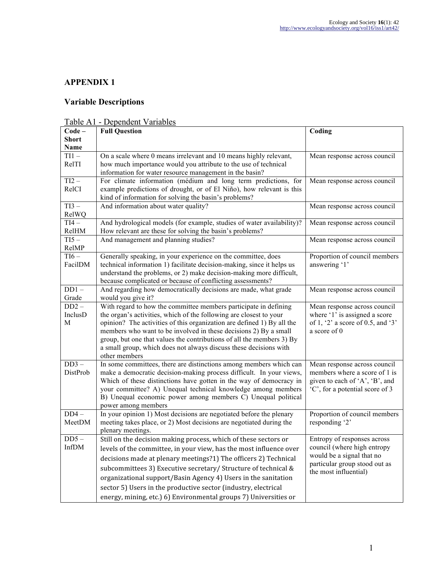# **APPENDIX 1**

# **Variable Descriptions**

| Table A1 - Dependent Variables |  |  |  |
|--------------------------------|--|--|--|
|                                |  |  |  |

| Code-            | <b>Full Question</b>                                                               | Coding                                                 |
|------------------|------------------------------------------------------------------------------------|--------------------------------------------------------|
| Short            |                                                                                    |                                                        |
| Name             |                                                                                    |                                                        |
| $TI1 -$          | On a scale where 0 means irrelevant and 10 means highly relevant,                  | Mean response across council                           |
| RelTI            | how much importance would you attribute to the use of technical                    |                                                        |
|                  | information for water resource management in the basin?                            |                                                        |
| $TI2 -$          | For climate information (médium and long term predictions, for                     | Mean response across council                           |
| RelCI            | example predictions of drought, or of El Niño), how relevant is this               |                                                        |
|                  | kind of information for solving the basin's problems?                              |                                                        |
| $TI3 -$<br>RelWQ | And information about water quality?                                               | Mean response across council                           |
| $TI4-$           | And hydrological models (for example, studies of water availability)?              |                                                        |
| RelHM            | How relevant are these for solving the basin's problems?                           | Mean response across council                           |
| $TI5-$           | And management and planning studies?                                               | Mean response across council                           |
| RelMP            |                                                                                    |                                                        |
| $TI6-$           | Generally speaking, in your experience on the committee, does                      | Proportion of council members                          |
| FacilDM          | technical information 1) facilitate decision-making, since it helps us             | answering '1'                                          |
|                  | understand the problems, or 2) make decision-making more difficult,                |                                                        |
|                  | because complicated or because of conflicting assessments?                         |                                                        |
| $DD1 -$          | And regarding how democratically decisions are made, what grade                    | Mean response across council                           |
| Grade            | would you give it?                                                                 |                                                        |
| $DD2-$           | With regard to how the committee members participate in defining                   | Mean response across council                           |
| InclusD          | the organ's activities, which of the following are closest to your                 | where '1' is assigned a score                          |
| M                | opinion? The activities of this organization are defined 1) By all the             | of 1, '2' a score of 0.5, and '3'                      |
|                  | members who want to be involved in these decisions 2) By a small                   | a score of 0                                           |
|                  | group, but one that values the contributions of all the members 3) By              |                                                        |
|                  | a small group, which does not always discuss these decisions with<br>other members |                                                        |
| $DD3 -$          | In some committees, there are distinctions among members which can                 | Mean response across council                           |
| DistProb         | make a democratic decision-making process difficult. In your views,                | members where a score of 1 is                          |
|                  | Which of these distinctions have gotten in the way of democracy in                 | given to each of 'A', 'B', and                         |
|                  | your committee? A) Unequal technical knowledge among members                       | 'C', for a potential score of 3                        |
|                  | B) Unequal economic power among members C) Unequal political                       |                                                        |
|                  | power among members                                                                |                                                        |
| $DD4-$           | In your opinion 1) Most decisions are negotiated before the plenary                | Proportion of council members                          |
| MeetDM           | meeting takes place, or 2) Most decisions are negotiated during the                | responding '2'                                         |
|                  | plenary meetings.                                                                  |                                                        |
| $DD5-$           | Still on the decision making process, which of these sectors or                    | Entropy of responses across                            |
| InfDM            | levels of the committee, in your view, has the most influence over                 | council (where high entropy                            |
|                  | decisions made at plenary meetings?1) The officers 2) Technical                    | would be a signal that no                              |
|                  | subcommittees 3) Executive secretary/ Structure of technical &                     | particular group stood out as<br>the most influential) |
|                  | organizational support/Basin Agency 4) Users in the sanitation                     |                                                        |
|                  | sector 5) Users in the productive sector (industry, electrical                     |                                                        |
|                  | energy, mining, etc.) 6) Environmental groups 7) Universities or                   |                                                        |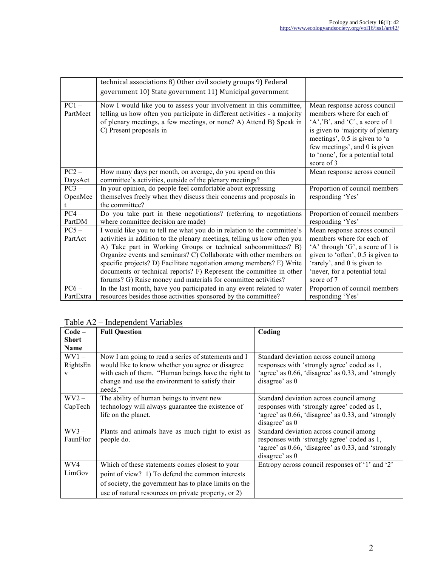|                     | technical associations 8) Other civil society groups 9) Federal                                                                                                                                                                                   |                                                                                                                                                                                                                                                            |
|---------------------|---------------------------------------------------------------------------------------------------------------------------------------------------------------------------------------------------------------------------------------------------|------------------------------------------------------------------------------------------------------------------------------------------------------------------------------------------------------------------------------------------------------------|
|                     | government 10) State government 11) Municipal government                                                                                                                                                                                          |                                                                                                                                                                                                                                                            |
|                     |                                                                                                                                                                                                                                                   |                                                                                                                                                                                                                                                            |
| $PC1 -$<br>PartMeet | Now I would like you to assess your involvement in this committee,<br>telling us how often you participate in different activities - a majority<br>of plenary meetings, a few meetings, or none? A) Attend B) Speak in<br>C) Present proposals in | Mean response across council<br>members where for each of<br>$'A$ , $'B$ , and $'C$ , a score of 1<br>is given to 'majority of plenary<br>meetings', 0.5 is given to 'a<br>few meetings', and 0 is given<br>to 'none', for a potential total<br>score of 3 |
| $PC2-$              | How many days per month, on average, do you spend on this                                                                                                                                                                                         | Mean response across council                                                                                                                                                                                                                               |
| DaysAct             | committee's activities, outside of the plenary meetings?                                                                                                                                                                                          |                                                                                                                                                                                                                                                            |
| $PC3 -$             | In your opinion, do people feel comfortable about expressing                                                                                                                                                                                      | Proportion of council members                                                                                                                                                                                                                              |
| OpenMee             | themselves freely when they discuss their concerns and proposals in                                                                                                                                                                               | responding 'Yes'                                                                                                                                                                                                                                           |
|                     | the committee?                                                                                                                                                                                                                                    |                                                                                                                                                                                                                                                            |
| $PC4-$              | Do you take part in these negotiations? (referring to negotiations                                                                                                                                                                                | Proportion of council members                                                                                                                                                                                                                              |
| PartDM              | where committee decision are made)                                                                                                                                                                                                                | responding 'Yes'                                                                                                                                                                                                                                           |
| $PC5-$              | I would like you to tell me what you do in relation to the committee's                                                                                                                                                                            | Mean response across council                                                                                                                                                                                                                               |
| PartAct             | activities in addition to the plenary meetings, telling us how often you                                                                                                                                                                          | members where for each of                                                                                                                                                                                                                                  |
|                     | A) Take part in Working Groups or technical subcommittees? B)                                                                                                                                                                                     | 'A' through 'G', a score of 1 is                                                                                                                                                                                                                           |
|                     | Organize events and seminars? C) Collaborate with other members on                                                                                                                                                                                | given to 'often', 0.5 is given to                                                                                                                                                                                                                          |
|                     | specific projects? D) Facilitate negotiation among members? E) Write                                                                                                                                                                              | 'rarely', and 0 is given to                                                                                                                                                                                                                                |
|                     | documents or technical reports? F) Represent the committee in other                                                                                                                                                                               | 'never, for a potential total                                                                                                                                                                                                                              |
|                     | forums? G) Raise money and materials for committee activities?                                                                                                                                                                                    | score of 7                                                                                                                                                                                                                                                 |
| $PC6-$              | In the last month, have you participated in any event related to water                                                                                                                                                                            | Proportion of council members                                                                                                                                                                                                                              |
| PartExtra           | resources besides those activities sponsored by the committee?                                                                                                                                                                                    | responding 'Yes'                                                                                                                                                                                                                                           |

| Table A2 – Independent Variables |  |  |
|----------------------------------|--|--|
|                                  |  |  |

| $Code -$     | <b>Full Question</b>                                       | Coding                                             |
|--------------|------------------------------------------------------------|----------------------------------------------------|
| <b>Short</b> |                                                            |                                                    |
| Name         |                                                            |                                                    |
| $WVI -$      | Now I am going to read a series of statements and I        | Standard deviation across council among            |
| RightsEn     | would like to know whether you agree or disagree           | responses with 'strongly agree' coded as 1,        |
| V            | with each of them. "Human beings have the right to         | 'agree' as 0.66, 'disagree' as 0.33, and 'strongly |
|              | change and use the environment to satisfy their<br>needs." | disagree' as $0$                                   |
| WV2 –        | The ability of human beings to invent new                  | Standard deviation across council among            |
| CapTech      | technology will always guarantee the existence of          | responses with 'strongly agree' coded as 1,        |
|              | life on the planet.                                        | 'agree' as 0.66, 'disagree' as 0.33, and 'strongly |
|              |                                                            | disagree' as $0$                                   |
| $WV3 -$      | Plants and animals have as much right to exist as          | Standard deviation across council among            |
| FaunFlor     | people do.                                                 | responses with 'strongly agree' coded as 1,        |
|              |                                                            | 'agree' as 0.66, 'disagree' as 0.33, and 'strongly |
|              |                                                            | disagree' as $0$                                   |
| $WV4 -$      | Which of these statements comes closest to your            | Entropy across council responses of '1' and '2'    |
| LimGov       | point of view? 1) To defend the common interests           |                                                    |
|              | of society, the government has to place limits on the      |                                                    |
|              | use of natural resources on private property, or 2)        |                                                    |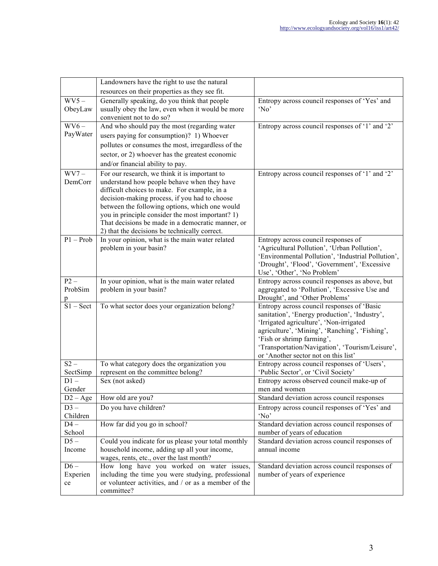|                   | Landowners have the right to use the natural                              |                                                                                     |
|-------------------|---------------------------------------------------------------------------|-------------------------------------------------------------------------------------|
|                   | resources on their properties as they see fit.                            |                                                                                     |
| $WV5 -$           | Generally speaking, do you think that people                              | Entropy across council responses of 'Yes' and                                       |
| ObeyLaw           | usually obey the law, even when it would be more                          | 'No'                                                                                |
|                   | convenient not to do so?                                                  |                                                                                     |
| $WV6 -$           | And who should pay the most (regarding water                              | Entropy across council responses of '1' and '2'                                     |
| PayWater          | users paying for consumption)? 1) Whoever                                 |                                                                                     |
|                   | pollutes or consumes the most, irregardless of the                        |                                                                                     |
|                   | sector, or 2) whoever has the greatest economic                           |                                                                                     |
|                   | and/or financial ability to pay.                                          |                                                                                     |
| $WV7 -$           | For our research, we think it is important to                             | Entropy across council responses of '1' and '2'                                     |
| DemCorr           | understand how people behave when they have                               |                                                                                     |
|                   | difficult choices to make. For example, in a                              |                                                                                     |
|                   | decision-making process, if you had to choose                             |                                                                                     |
|                   | between the following options, which one would                            |                                                                                     |
|                   | you in principle consider the most important? 1)                          |                                                                                     |
|                   | That decisions be made in a democratic manner, or                         |                                                                                     |
| $P1 - Prob$       | 2) that the decisions be technically correct.                             |                                                                                     |
|                   | In your opinion, what is the main water related<br>problem in your basin? | Entropy across council responses of<br>'Agricultural Pollution', 'Urban Pollution', |
|                   |                                                                           | 'Environmental Pollution', 'Industrial Pollution',                                  |
|                   |                                                                           | 'Drought', 'Flood', 'Government', 'Excessive                                        |
|                   |                                                                           | Use', 'Other', 'No Problem'                                                         |
| $\overline{P2}$ – | In your opinion, what is the main water related                           | Entropy across council responses as above, but                                      |
| ProbSim           | problem in your basin?                                                    | aggregated to 'Pollution', 'Excessive Use and                                       |
| p                 |                                                                           | Drought', and 'Other Problems'                                                      |
| $S1 - Sect$       | To what sector does your organization belong?                             | Entropy across council responses of 'Basic                                          |
|                   |                                                                           | sanitation', 'Energy production', 'Industry',                                       |
|                   |                                                                           | 'Irrigated agriculture', 'Non-irrigated                                             |
|                   |                                                                           | agriculture', 'Mining', 'Ranching', 'Fishing',<br>'Fish or shrimp farming',         |
|                   |                                                                           | 'Transportation/Navigation', 'Tourism/Leisure',                                     |
|                   |                                                                           | or 'Another sector not on this list'                                                |
| $S2 -$            | To what category does the organization you                                | Entropy across council responses of 'Users',                                        |
| SectSimp          | represent on the committee belong?                                        | 'Public Sector', or 'Civil Society'                                                 |
| $D1 -$            | Sex (not asked)                                                           | Entropy across observed council make-up of                                          |
| Gender            |                                                                           | men and women                                                                       |
| $D2 - Age$        | How old are you?                                                          | Standard deviation across council responses                                         |
| $D3 -$            | Do you have children?                                                     | Entropy across council responses of 'Yes' and                                       |
| Children          |                                                                           | 'No'                                                                                |
| $D4 -$            | How far did you go in school?                                             | Standard deviation across council responses of                                      |
| School<br>$D5 -$  | Could you indicate for us please your total monthly                       | number of years of education                                                        |
| Income            | household income, adding up all your income,                              | Standard deviation across council responses of<br>annual income                     |
|                   | wages, rents, etc., over the last month?                                  |                                                                                     |
| $D6 -$            | How long have you worked on water issues,                                 | Standard deviation across council responses of                                      |
| Experien          | including the time you were studying, professional                        | number of years of experience                                                       |
| ce                | or volunteer activities, and / or as a member of the                      |                                                                                     |
|                   | committee?                                                                |                                                                                     |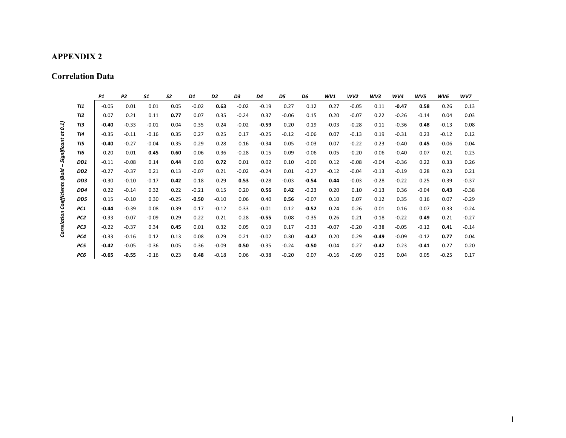# **APPENDIX 2**

# **Correlation Data**

|                                |                  | <b>P1</b> | <b>P2</b> | <b>S1</b> | S <sub>2</sub> | D1      | D <sub>2</sub> | D3      | D4      | D5      | D6      | WV1     | WV <sub>2</sub> | WV3     | WV4     | WV5     | WV6     | WV7     |
|--------------------------------|------------------|-----------|-----------|-----------|----------------|---------|----------------|---------|---------|---------|---------|---------|-----------------|---------|---------|---------|---------|---------|
|                                | T11              | $-0.05$   | 0.01      | 0.01      | 0.05           | $-0.02$ | 0.63           | $-0.02$ | $-0.19$ | 0.27    | 0.12    | 0.27    | $-0.05$         | 0.11    | $-0.47$ | 0.58    | 0.26    | 0.13    |
|                                | T12              | 0.07      | 0.21      | 0.11      | 0.77           | 0.07    | 0.35           | $-0.24$ | 0.37    | $-0.06$ | 0.15    | 0.20    | $-0.07$         | 0.22    | $-0.26$ | $-0.14$ | 0.04    | 0.03    |
| 0.1)                           | T <sub>13</sub>  | $-0.40$   | $-0.33$   | $-0.01$   | 0.04           | 0.35    | 0.24           | $-0.02$ | $-0.59$ | 0.20    | 0.19    | $-0.03$ | $-0.28$         | 0.11    | $-0.36$ | 0.48    | $-0.13$ | 0.08    |
|                                | T <sub>I</sub> 4 | $-0.35$   | $-0.11$   | $-0.16$   | 0.35           | 0.27    | 0.25           | 0.17    | $-0.25$ | $-0.12$ | $-0.06$ | 0.07    | $-0.13$         | 0.19    | $-0.31$ | 0.23    | $-0.12$ | 0.12    |
| Significant at                 | T <sub>15</sub>  | $-0.40$   | $-0.27$   | $-0.04$   | 0.35           | 0.29    | 0.28           | 0.16    | $-0.34$ | 0.05    | $-0.03$ | 0.07    | $-0.22$         | 0.23    | $-0.40$ | 0.45    | $-0.06$ | 0.04    |
|                                | <b>TI6</b>       | 0.20      | 0.01      | 0.45      | 0.60           | 0.06    | 0.36           | $-0.28$ | 0.15    | 0.09    | $-0.06$ | 0.05    | $-0.20$         | 0.06    | $-0.40$ | 0.07    | 0.21    | 0.23    |
|                                | DD <sub>1</sub>  | $-0.11$   | $-0.08$   | 0.14      | 0.44           | 0.03    | 0.72           | 0.01    | 0.02    | 0.10    | $-0.09$ | 0.12    | $-0.08$         | $-0.04$ | $-0.36$ | 0.22    | 0.33    | 0.26    |
|                                | DD <sub>2</sub>  | $-0.27$   | $-0.37$   | 0.21      | 0.13           | $-0.07$ | 0.21           | $-0.02$ | $-0.24$ | 0.01    | $-0.27$ | $-0.12$ | $-0.04$         | $-0.13$ | $-0.19$ | 0.28    | 0.23    | 0.21    |
|                                | DD <sub>3</sub>  | $-0.30$   | $-0.10$   | $-0.17$   | 0.42           | 0.18    | 0.29           | 0.53    | $-0.28$ | $-0.03$ | $-0.54$ | 0.44    | $-0.03$         | $-0.28$ | $-0.22$ | 0.25    | 0.39    | $-0.37$ |
| Correlation Coefficients (Bold | DD <sub>4</sub>  | 0.22      | $-0.14$   | 0.32      | 0.22           | $-0.21$ | 0.15           | 0.20    | 0.56    | 0.42    | $-0.23$ | 0.20    | 0.10            | $-0.13$ | 0.36    | $-0.04$ | 0.43    | $-0.38$ |
|                                | DD5              | 0.15      | $-0.10$   | 0.30      | $-0.25$        | $-0.50$ | $-0.10$        | 0.06    | 0.40    | 0.56    | $-0.07$ | 0.10    | 0.07            | 0.12    | 0.35    | 0.16    | 0.07    | $-0.29$ |
|                                | PC1              | $-0.44$   | $-0.39$   | 0.08      | 0.39           | 0.17    | $-0.12$        | 0.33    | $-0.01$ | 0.12    | $-0.52$ | 0.24    | 0.26            | 0.01    | 0.16    | 0.07    | 0.33    | $-0.24$ |
|                                | PC <sub>2</sub>  | $-0.33$   | $-0.07$   | $-0.09$   | 0.29           | 0.22    | 0.21           | 0.28    | $-0.55$ | 0.08    | $-0.35$ | 0.26    | 0.21            | $-0.18$ | $-0.22$ | 0.49    | 0.21    | $-0.27$ |
|                                | PC3              | $-0.22$   | $-0.37$   | 0.34      | 0.45           | 0.01    | 0.32           | 0.05    | 0.19    | 0.17    | $-0.33$ | $-0.07$ | $-0.20$         | $-0.38$ | $-0.05$ | $-0.12$ | 0.41    | $-0.14$ |
|                                | PC4              | $-0.33$   | $-0.16$   | 0.12      | 0.13           | 0.08    | 0.29           | 0.21    | $-0.02$ | 0.30    | $-0.47$ | 0.20    | 0.29            | $-0.49$ | $-0.09$ | $-0.12$ | 0.77    | 0.04    |
|                                | PC5              | $-0.42$   | $-0.05$   | $-0.36$   | 0.05           | 0.36    | $-0.09$        | 0.50    | $-0.35$ | $-0.24$ | $-0.50$ | $-0.04$ | 0.27            | $-0.42$ | 0.23    | $-0.41$ | 0.27    | 0.20    |
|                                | PC6              | $-0.65$   | $-0.55$   | $-0.16$   | 0.23           | 0.48    | $-0.18$        | 0.06    | $-0.38$ | $-0.20$ | 0.07    | $-0.16$ | $-0.09$         | 0.25    | 0.04    | 0.05    | $-0.25$ | 0.17    |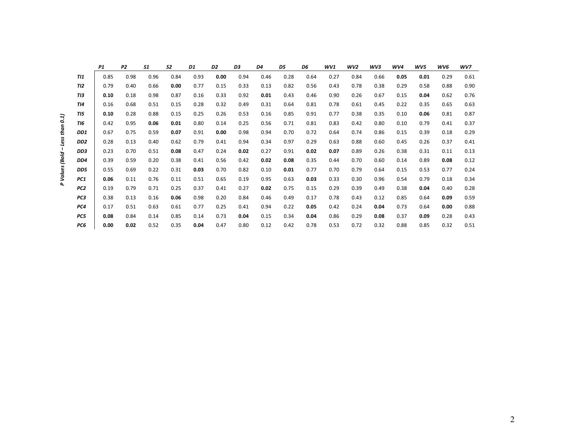|  |                 | <b>P1</b> | P <sub>2</sub> | 51   | 52   | D1   | D <sub>2</sub> | D3   | D4   | D5   | D6   | WV1  | WV <sub>2</sub> | WV3  | WV4  | WV5  | WV6  | WV7  |
|--|-----------------|-----------|----------------|------|------|------|----------------|------|------|------|------|------|-----------------|------|------|------|------|------|
|  | T11             | 0.85      | 0.98           | 0.96 | 0.84 | 0.93 | 0.00           | 0.94 | 0.46 | 0.28 | 0.64 | 0.27 | 0.84            | 0.66 | 0.05 | 0.01 | 0.29 | 0.61 |
|  | T12             | 0.79      | 0.40           | 0.66 | 0.00 | 0.77 | 0.15           | 0.33 | 0.13 | 0.82 | 0.56 | 0.43 | 0.78            | 0.38 | 0.29 | 0.58 | 0.88 | 0.90 |
|  | T <sub>13</sub> | 0.10      | 0.18           | 0.98 | 0.87 | 0.16 | 0.33           | 0.92 | 0.01 | 0.43 | 0.46 | 0.90 | 0.26            | 0.67 | 0.15 | 0.04 | 0.62 | 0.76 |
|  | <b>TI4</b>      | 0.16      | 0.68           | 0.51 | 0.15 | 0.28 | 0.32           | 0.49 | 0.31 | 0.64 | 0.81 | 0.78 | 0.61            | 0.45 | 0.22 | 0.35 | 0.65 | 0.63 |
|  | T15             | 0.10      | 0.28           | 0.88 | 0.15 | 0.25 | 0.26           | 0.53 | 0.16 | 0.85 | 0.91 | 0.77 | 0.38            | 0.35 | 0.10 | 0.06 | 0.81 | 0.87 |
|  | <b>TI6</b>      | 0.42      | 0.95           | 0.06 | 0.01 | 0.80 | 0.14           | 0.25 | 0.56 | 0.71 | 0.81 | 0.83 | 0.42            | 0.80 | 0.10 | 0.79 | 0.41 | 0.37 |
|  | DD1             | 0.67      | 0.75           | 0.59 | 0.07 | 0.91 | 0.00           | 0.98 | 0.94 | 0.70 | 0.72 | 0.64 | 0.74            | 0.86 | 0.15 | 0.39 | 0.18 | 0.29 |
|  | DD <sub>2</sub> | 0.28      | 0.13           | 0.40 | 0.62 | 0.79 | 0.41           | 0.94 | 0.34 | 0.97 | 0.29 | 0.63 | 0.88            | 0.60 | 0.45 | 0.26 | 0.37 | 0.41 |
|  | DD3             | 0.23      | 0.70           | 0.51 | 0.08 | 0.47 | 0.24           | 0.02 | 0.27 | 0.91 | 0.02 | 0.07 | 0.89            | 0.26 | 0.38 | 0.31 | 0.11 | 0.13 |
|  | DD4             | 0.39      | 0.59           | 0.20 | 0.38 | 0.41 | 0.56           | 0.42 | 0.02 | 0.08 | 0.35 | 0.44 | 0.70            | 0.60 | 0.14 | 0.89 | 0.08 | 0.12 |
|  | DD5             | 0.55      | 0.69           | 0.22 | 0.31 | 0.03 | 0.70           | 0.82 | 0.10 | 0.01 | 0.77 | 0.70 | 0.79            | 0.64 | 0.15 | 0.53 | 0.77 | 0.24 |
|  | PC1             | 0.06      | 0.11           | 0.76 | 0.11 | 0.51 | 0.65           | 0.19 | 0.95 | 0.63 | 0.03 | 0.33 | 0.30            | 0.96 | 0.54 | 0.79 | 0.18 | 0.34 |
|  | PC2             | 0.19      | 0.79           | 0.71 | 0.25 | 0.37 | 0.41           | 0.27 | 0.02 | 0.75 | 0.15 | 0.29 | 0.39            | 0.49 | 0.38 | 0.04 | 0.40 | 0.28 |
|  | PC3             | 0.38      | 0.13           | 0.16 | 0.06 | 0.98 | 0.20           | 0.84 | 0.46 | 0.49 | 0.17 | 0.78 | 0.43            | 0.12 | 0.85 | 0.64 | 0.09 | 0.59 |
|  | PC4             | 0.17      | 0.51           | 0.63 | 0.61 | 0.77 | 0.25           | 0.41 | 0.94 | 0.22 | 0.05 | 0.42 | 0.24            | 0.04 | 0.73 | 0.64 | 0.00 | 0.88 |
|  | PC5             | 0.08      | 0.84           | 0.14 | 0.85 | 0.14 | 0.73           | 0.04 | 0.15 | 0.34 | 0.04 | 0.86 | 0.29            | 0.08 | 0.37 | 0.09 | 0.28 | 0.43 |
|  | PC6             | 0.00      | 0.02           | 0.52 | 0.35 | 0.04 | 0.47           | 0.80 | 0.12 | 0.42 | 0.78 | 0.53 | 0.72            | 0.32 | 0.88 | 0.85 | 0.32 | 0.51 |

P Values (Bold - Less than 0.1) *P
Values
(Bold
–
Less
than
0.1)*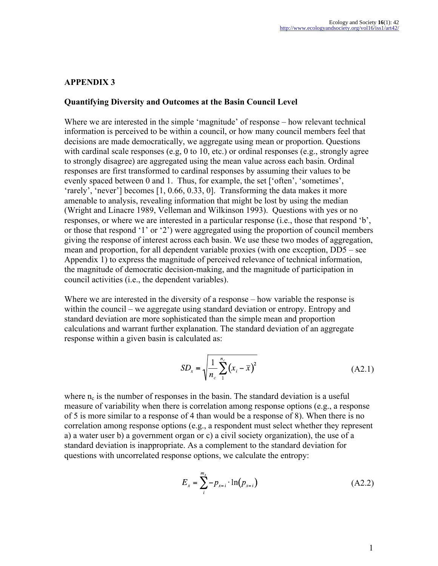# **APPENDIX 3**

### **Quantifying Diversity and Outcomes at the Basin Council Level**

Where we are interested in the simple 'magnitude' of response – how relevant technical information is perceived to be within a council, or how many council members feel that decisions are made democratically, we aggregate using mean or proportion. Questions with cardinal scale responses (e.g, 0 to 10, etc.) or ordinal responses (e.g., strongly agree to strongly disagree) are aggregated using the mean value across each basin. Ordinal responses are first transformed to cardinal responses by assuming their values to be evenly spaced between 0 and 1. Thus, for example, the set ['often', 'sometimes', 'rarely', 'never'] becomes [1, 0.66, 0.33, 0]. Transforming the data makes it more amenable to analysis, revealing information that might be lost by using the median (Wright and Linacre 1989, Velleman and Wilkinson 1993). Questions with yes or no responses, or where we are interested in a particular response (i.e., those that respond 'b', or those that respond '1' or '2') were aggregated using the proportion of council members giving the response of interest across each basin. We use these two modes of aggregation, mean and proportion, for all dependent variable proxies (with one exception, DD5 – see Appendix 1) to express the magnitude of perceived relevance of technical information, the magnitude of democratic decision-making, and the magnitude of participation in council activities (i.e., the dependent variables).

Where we are interested in the diversity of a response – how variable the response is within the council – we aggregate using standard deviation or entropy. Entropy and standard deviation are more sophisticated than the simple mean and proportion calculations and warrant further explanation. The standard deviation of an aggregate response within a given basin is calculated as:

$$
SD_x = \sqrt{\frac{1}{n_c} \sum_{1}^{n_c} (x_i - \overline{x})^2}
$$
 (A2.1)

where  $n_c$  is the number of responses in the basin. The standard deviation is a useful measure of variability when there is correlation among response options (e.g., a response of 5 is more similar to a response of 4 than would be a response of 8). When there is no correlation among response options (e.g., a respondent must select whether they represent a) a water user b) a government organ or c) a civil society organization), the use of a standard deviation is inappropriate. As a complement to the standard deviation for questions with uncorrelated response options, we calculate the entropy:

$$
E_x = \sum_{i}^{m_x} -p_{x=i} \cdot \ln(p_{x=i})
$$
 (A2.2)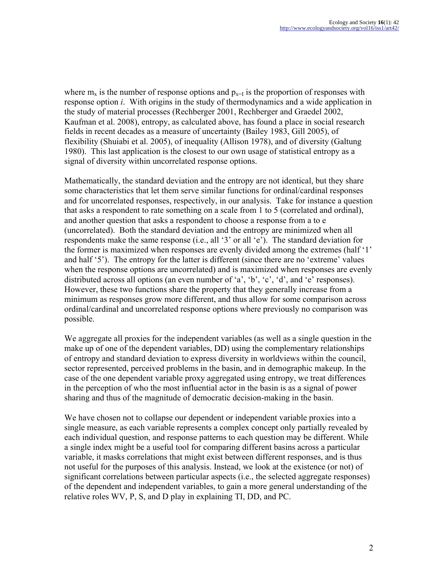where  $m_x$  is the number of response options and  $p_{x=1}$  is the proportion of responses with response option *i*. With origins in the study of thermodynamics and a wide application in the study of material processes (Rechberger 2001, Rechberger and Graedel 2002, Kaufman et al. 2008), entropy, as calculated above, has found a place in social research fields in recent decades as a measure of uncertainty (Bailey 1983, Gill 2005), of flexibility (Shuiabi et al. 2005), of inequality (Allison 1978), and of diversity (Galtung 1980). This last application is the closest to our own usage of statistical entropy as a signal of diversity within uncorrelated response options.

Mathematically, the standard deviation and the entropy are not identical, but they share some characteristics that let them serve similar functions for ordinal/cardinal responses and for uncorrelated responses, respectively, in our analysis. Take for instance a question that asks a respondent to rate something on a scale from 1 to 5 (correlated and ordinal), and another question that asks a respondent to choose a response from a to e (uncorrelated). Both the standard deviation and the entropy are minimized when all respondents make the same response (i.e., all '3' or all 'e'). The standard deviation for the former is maximized when responses are evenly divided among the extremes (half '1' and half '5'). The entropy for the latter is different (since there are no 'extreme' values when the response options are uncorrelated) and is maximized when responses are evenly distributed across all options (an even number of 'a', 'b', 'c', 'd', and 'e' responses). However, these two functions share the property that they generally increase from a minimum as responses grow more different, and thus allow for some comparison across ordinal/cardinal and uncorrelated response options where previously no comparison was possible.

We aggregate all proxies for the independent variables (as well as a single question in the make up of one of the dependent variables, DD) using the complementary relationships of entropy and standard deviation to express diversity in worldviews within the council, sector represented, perceived problems in the basin, and in demographic makeup. In the case of the one dependent variable proxy aggregated using entropy, we treat differences in the perception of who the most influential actor in the basin is as a signal of power sharing and thus of the magnitude of democratic decision-making in the basin.

We have chosen not to collapse our dependent or independent variable proxies into a single measure, as each variable represents a complex concept only partially revealed by each individual question, and response patterns to each question may be different. While a single index might be a useful tool for comparing different basins across a particular variable, it masks correlations that might exist between different responses, and is thus not useful for the purposes of this analysis. Instead, we look at the existence (or not) of significant correlations between particular aspects (i.e., the selected aggregate responses) of the dependent and independent variables, to gain a more general understanding of the relative roles WV, P, S, and D play in explaining TI, DD, and PC.